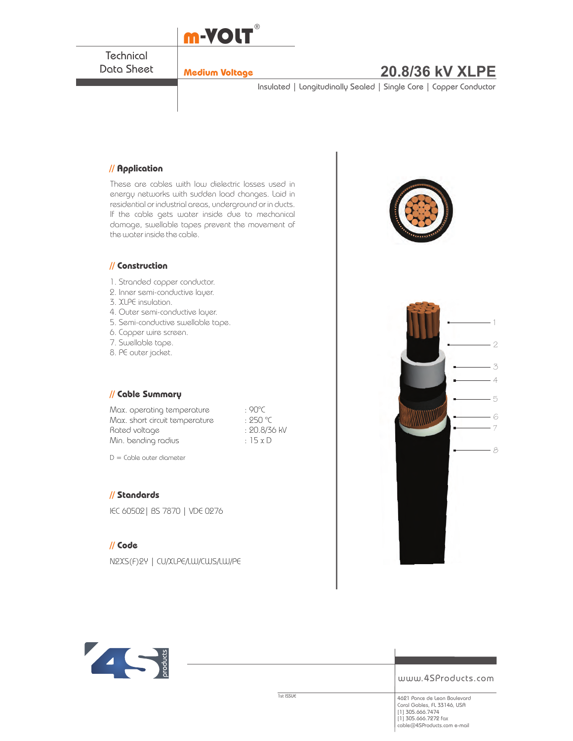

**Technical** Data Sheet

# **Medium Voltage 20.8/36 kV XLPE**

Insulated | Longitudinally Sealed | Single Core | Copper Conductor

### **// Application**

These are cables with low dielectric losses used in energy networks with sudden load changes. Laid in residential or industrial areas, underground or in ducts. If the cable gets water inside due to mechanical damage, swellable tapes prevent the movement of the water inside the cable.

#### **// Construction**

- 1. Stranded copper conductor.
- 2. Inner semi-conductive layer.
- 3. XLPE insulation.
- 4. Outer semi-conductive layer.
- 5. Semi-conductive swellable tape.
- 6. Copper wire screen.
- 7. Swellable tape.
- 8. PE outer jacket.

#### **// Cable Summary**

Max. operating temperature : 90°C Max. short circuit temperature : 250 °C Rated voltage in the set of the 20.8/36 kV Min. bending radius  $\cdot$  15 x D

 $D =$  Cable outer diameter

#### **// Standards**

IEC 60502| BS 7870 | VDE 0276

### **// Code**

N2XS(F)2Y | CU/XLPE/LW/CWS/LW/PE





www.4SProducts.com